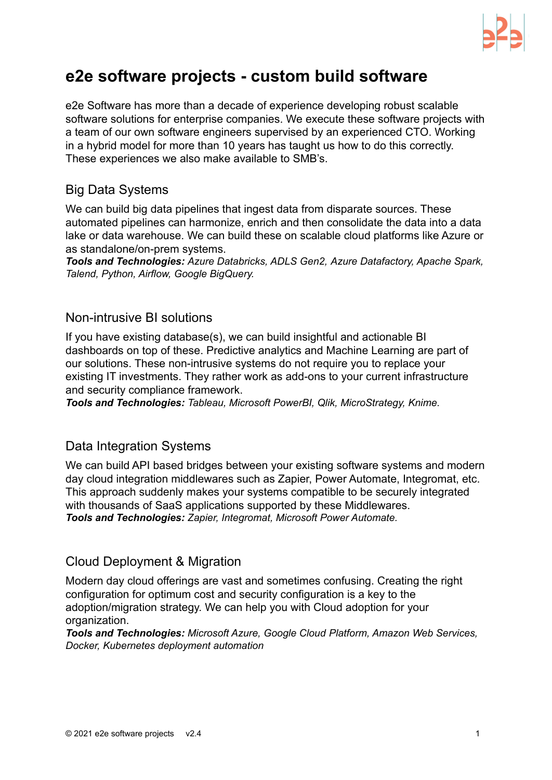

# **e2e software projects - custom build software**

e2e Software has more than a decade of experience developing robust scalable software solutions for enterprise companies. We execute these software projects with a team of our own software engineers supervised by an experienced CTO. Working in a hybrid model for more than 10 years has taught us how to do this correctly. These experiences we also make available to SMB's.

## Big Data Systems

We can build big data pipelines that ingest data from disparate sources. These automated pipelines can harmonize, enrich and then consolidate the data into a data lake or data warehouse. We can build these on scalable cloud platforms like Azure or as standalone/on-prem systems.

*Tools and Technologies: Azure Databricks, ADLS Gen2, Azure Datafactory, Apache Spark, Talend, Python, Airflow, Google BigQuery.*

### Non-intrusive BI solutions

If you have existing database(s), we can build insightful and actionable BI dashboards on top of these. Predictive analytics and Machine Learning are part of our solutions. These non-intrusive systems do not require you to replace your existing IT investments. They rather work as add-ons to your current infrastructure and security compliance framework.

*Tools and Technologies: Tableau, Microsoft PowerBI, Qlik, MicroStrategy, Knime.*

#### Data Integration Systems

We can build API based bridges between your existing software systems and modern day cloud integration middlewares such as Zapier, Power Automate, Integromat, etc. This approach suddenly makes your systems compatible to be securely integrated with thousands of SaaS applications supported by these Middlewares. *Tools and Technologies: Zapier, Integromat, Microsoft Power Automate.*

#### Cloud Deployment & Migration

Modern day cloud offerings are vast and sometimes confusing. Creating the right configuration for optimum cost and security configuration is a key to the adoption/migration strategy. We can help you with Cloud adoption for your organization.

*Tools and Technologies: Microsoft Azure, Google Cloud Platform, Amazon Web Services, Docker, Kubernetes deployment automation*